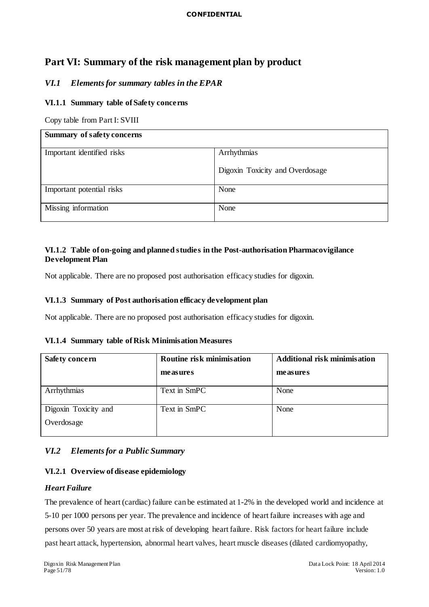### **CONFIDENTIAL**

# **Part VI: Summary of the risk management plan by product**

# *VI.1 Elements for summary tables in the EPAR*

# **VI.1.1 Summary table of Safety concerns**

Copy table from Part I: SVIII

| Summary of safety concerns |                                 |  |  |
|----------------------------|---------------------------------|--|--|
| Important identified risks | Arrhythmias                     |  |  |
|                            | Digoxin Toxicity and Overdosage |  |  |
| Important potential risks  | None                            |  |  |
| Missing information        | None                            |  |  |

# **VI.1.2 Table of on-going and planned studies in the Post-authorisation Pharmacovigilance Development Plan**

Not applicable. There are no proposed post authorisation efficacy studies for digoxin.

## **VI.1.3 Summary of Post authorisation efficacy development plan**

Not applicable. There are no proposed post authorisation efficacy studies for digoxin.

|  |  | VI.1.4 Summary table of Risk Minimisation Measures |  |  |  |  |  |
|--|--|----------------------------------------------------|--|--|--|--|--|
|--|--|----------------------------------------------------|--|--|--|--|--|

| <b>Safety concern</b> | Routine risk minimisation | <b>Additional risk minimisation</b> |  |
|-----------------------|---------------------------|-------------------------------------|--|
|                       | measures                  | measures                            |  |
| Arrhythmias           | Text in SmPC              | None                                |  |
| Digoxin Toxicity and  | Text in SmPC              | None                                |  |
| Overdosage            |                           |                                     |  |

# *VI.2 Elements for a Public Summary*

# **VI.2.1 Overview of disease epidemiology**

# *Heart Failure*

The prevalence of heart (cardiac) failure can be estimated at 1-2% in the developed world and incidence at 5-10 per 1000 persons per year. The prevalence and incidence of heart failure increases with age and persons over 50 years are most at risk of developing heart failure. Risk factors for heart failure include past heart attack, hypertension, abnormal heart valves, heart muscle diseases (dilated cardiomyopathy,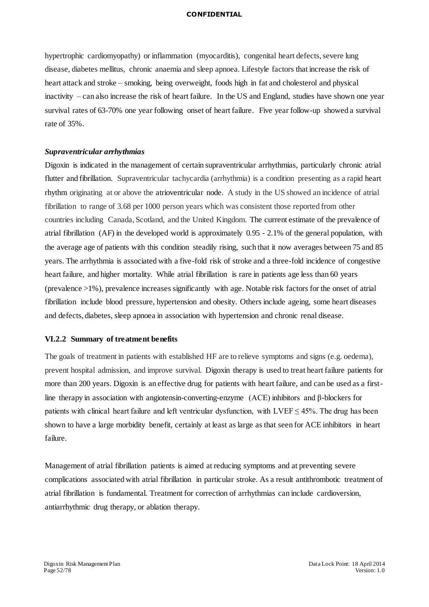#### **CONFIDENTIAL**

hypertrophic cardiomyopathy) or inflammation (myocarditis), congenital heart defects, severe lung disease, diabetes mellitus, chronic anaemia and sleep apnoea. Lifestyle factors that increase the risk of heart attack and stroke – smoking, being overweight, foods high in fat and cholesterol and physical inactivity – can also increase the risk of heart failure. In the US and England, studies have shown one year survival rates of 63-70% one year following onset of heart failure. Five year follow-up showed a survival rate of 35%.

#### *Supraventricular arrhythmias*

Digoxin is indicated in the management of certain supraventricular arrhythmias, particularly chronic atrial flutter and fibrillation. Supraventricular tachycardia (arrhythmia) is a condition presenting as a rapid heart rhythm originating at or above the atrioventricular node. A study in the US showed an incidence of atrial fibrillation to range of 3.68 per 1000 person years which was consistent those reported from other countries including Canada, Scotland, and the United Kingdom. The current estimate of the prevalence of atrial fibrillation (AF) in the developed world is approximately 0.95 - 2.1% of the general population, with the average age of patients with this condition steadily rising, such that it now averages between 75 and 85 years. The arrhythmia is associated with a five-fold risk of stroke and a three-fold incidence of congestive heart failure, and higher mortality. While atrial fibrillation is rare in patients age less than 60 years (prevalence >1%), prevalence increases significantly with age. Notable risk factors for the onset of atrial fibrillation include blood pressure, hypertension and obesity. Others include ageing, some heart diseases and defects, diabetes, sleep apnoea in association with hypertension and chronic renal disease.

#### **VI.2.2 Summary of treatment benefits**

The goals of treatment in patients with established HF are to relieve symptoms and signs (e.g. oedema), prevent hospital admission, and improve survival. Digoxin therapy is used to treat heart failure patients for more than 200 years. Digoxin is an effective drug for patients with heart failure, and can be used as a firstline therapy in association with angiotensin-converting-enzyme (ACE) inhibitors and β-blockers for patients with clinical heart failure and left ventricular dysfunction, with  $LVEF \leq 45\%$ . The drug has been shown to have a large morbidity benefit, certainly at least as large as that seen for ACE inhibitors in heart failure.

Management of atrial fibrillation patients is aimed at reducing symptoms and at preventing severe complications associated with atrial fibrillation in particular stroke. As a result antithrombotic treatment of atrial fibrillation is fundamental. Treatment for correction of arrhythmias can include cardioversion, antiarrhythmic drug therapy, or ablation therapy.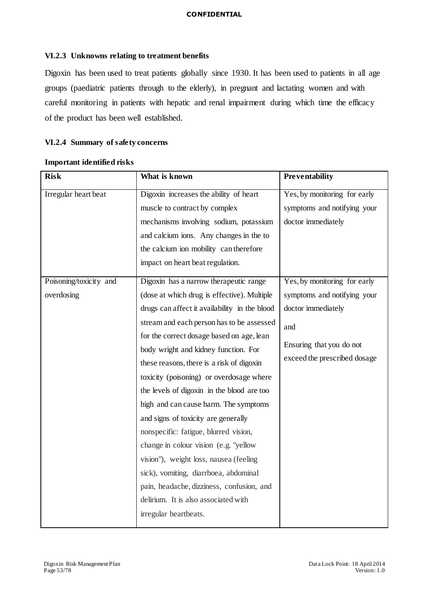## **VI.2.3 Unknowns relating to treatment benefits**

Digoxin has been used to treat patients globally since 1930. It has been used to patients in all age groups (paediatric patients through to the elderly), in pregnant and lactating women and with careful monitoring in patients with hepatic and renal impairment during which time the efficacy of the product has been well established.

# **VI.2.4 Summary of safety concerns**

| <b>Risk</b>            | What is known                                 | Preventability               |
|------------------------|-----------------------------------------------|------------------------------|
| Irregular heart beat   | Digoxin increases the ability of heart        | Yes, by monitoring for early |
|                        | muscle to contract by complex                 | symptoms and notifying your  |
|                        | mechanisms involving sodium, potassium        | doctor immediately           |
|                        | and calcium ions. Any changes in the to       |                              |
|                        | the calcium ion mobility can therefore        |                              |
|                        | impact on heart beat regulation.              |                              |
| Poisoning/toxicity and | Digoxin has a narrow therapeutic range        | Yes, by monitoring for early |
| overdosing             | (dose at which drug is effective). Multiple   | symptoms and notifying your  |
|                        | drugs can affect it availability in the blood | doctor immediately           |
|                        | stream and each person has to be assessed     | and                          |
|                        | for the correct dosage based on age, lean     |                              |
|                        | body wright and kidney function. For          | Ensuring that you do not     |
|                        | these reasons, there is a risk of digoxin     | exceed the prescribed dosage |
|                        | toxicity (poisoning) or overdosage where      |                              |
|                        | the levels of digoxin in the blood are too    |                              |
|                        | high and can cause harm. The symptoms         |                              |
|                        | and signs of toxicity are generally           |                              |
|                        | nonspecific: fatigue, blurred vision,         |                              |
|                        | change in colour vision (e.g. "yellow         |                              |
|                        | vision"), weight loss, nausea (feeling        |                              |
|                        | sick), vomiting, diarrhoea, abdominal         |                              |
|                        | pain, headache, dizziness, confusion, and     |                              |
|                        | delirium. It is also associated with          |                              |
|                        | irregular heartbeats.                         |                              |